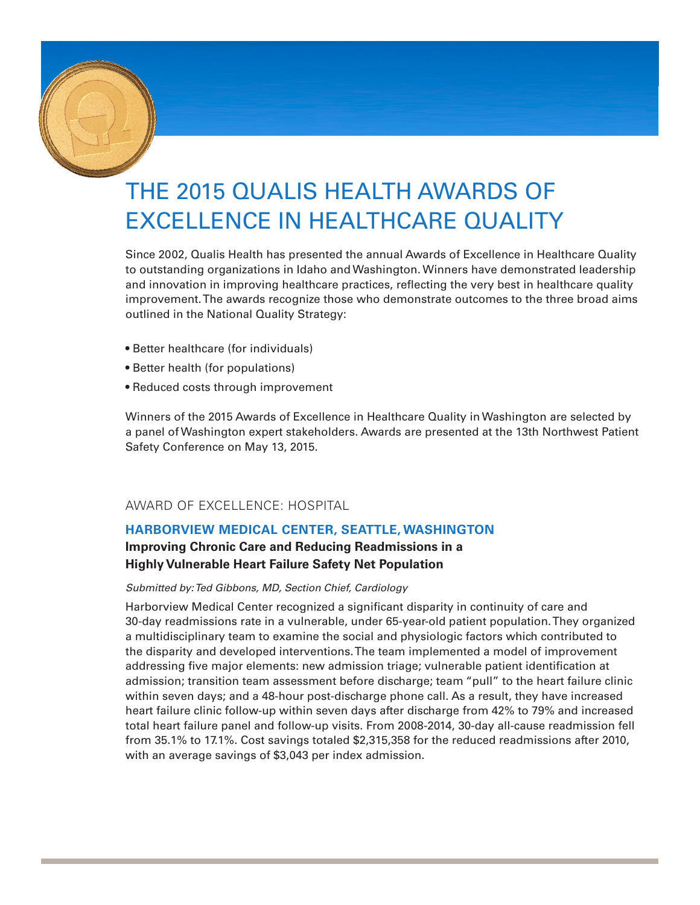

# THE 2015 QUALIS HEALTH AWARDS OF EXCELLENCE IN HEALTHCARE QUALITY

Since 2002, Qualis Health has presented the annual Awards of Excellence in Healthcare Quality to outstanding organizations in Idaho and Washington. Winners have demonstrated leadership and innovation in improving healthcare practices, reflecting the very best in healthcare quality improvement. The awards recognize those who demonstrate outcomes to the three broad aims outlined in the National Quality Strategy:

- Better healthcare (for individuals)
- Better health (for populations)
- Reduced costs through improvement

Winners of the 2015 Awards of Excellence in Healthcare Quality in Washington are selected by a panel of Washington expert stakeholders. Awards are presented at the 13th Northwest Patient Safety Conference on May 13, 2015.

## AWARD OF EXCELLENCE: HOSPITAL

## **HARBORVIEW MEDICAL CENTER, SEATTLE, WASHINGTON**

## **Improving Chronic Care and Reducing Readmissions in a Highly Vulnerable Heart Failure Safety Net Population**

#### *Submitted by: Ted Gibbons, MD, Section Chief, Cardiology*

Harborview Medical Center recognized a significant disparity in continuity of care and 30-day readmissions rate in a vulnerable, under 65-year-old patient population. They organized a multidisciplinary team to examine the social and physiologic factors which contributed to the disparity and developed interventions. The team implemented a model of improvement addressing five major elements: new admission triage; vulnerable patient identification at admission; transition team assessment before discharge; team "pull" to the heart failure clinic within seven days; and a 48-hour post-discharge phone call. As a result, they have increased heart failure clinic follow-up within seven days after discharge from 42% to 79% and increased total heart failure panel and follow-up visits. From 2008-2014, 30-day all-cause readmission fell from 35.1% to 17.1%. Cost savings totaled \$2,315,358 for the reduced readmissions after 2010, with an average savings of \$3,043 per index admission.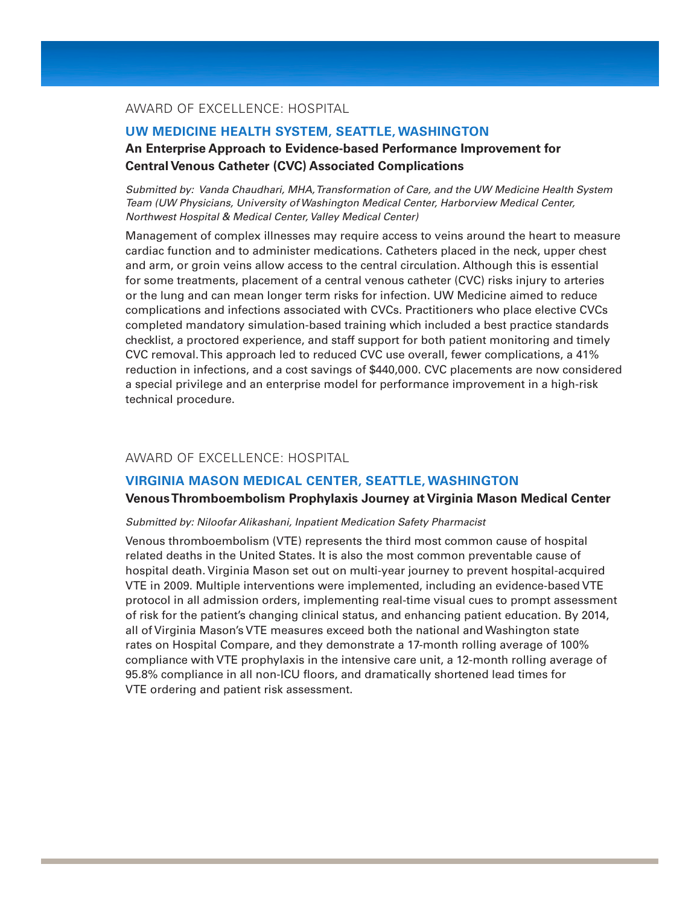## AWARD OF EXCELLENCE: HOSPITAL

#### **UW MEDICINE HEALTH SYSTEM, SEATTLE, WASHINGTON**

## **An Enterprise Approach to Evidence-based Performance Improvement for Central Venous Catheter (CVC) Associated Complications**

*Submitted by: Vanda Chaudhari, MHA, Transformation of Care, and the UW Medicine Health System Team (UW Physicians, University of Washington Medical Center, Harborview Medical Center, Northwest Hospital & Medical Center, Valley Medical Center)*

Management of complex illnesses may require access to veins around the heart to measure cardiac function and to administer medications. Catheters placed in the neck, upper chest and arm, or groin veins allow access to the central circulation. Although this is essential for some treatments, placement of a central venous catheter (CVC) risks injury to arteries or the lung and can mean longer term risks for infection. UW Medicine aimed to reduce complications and infections associated with CVCs. Practitioners who place elective CVCs completed mandatory simulation-based training which included a best practice standards checklist, a proctored experience, and staff support for both patient monitoring and timely CVC removal. This approach led to reduced CVC use overall, fewer complications, a 41% reduction in infections, and a cost savings of \$440,000. CVC placements are now considered a special privilege and an enterprise model for performance improvement in a high-risk technical procedure.

## AWARD OF EXCELLENCE: HOSPITAL

#### **VIRGINIA MASON MEDICAL CENTER, SEATTLE, WASHINGTON**

#### **Venous Thromboembolism Prophylaxis Journey at Virginia Mason Medical Center**

#### *Submitted by: Niloofar Alikashani, Inpatient Medication Safety Pharmacist*

Venous thromboembolism (VTE) represents the third most common cause of hospital related deaths in the United States. It is also the most common preventable cause of hospital death. Virginia Mason set out on multi-year journey to prevent hospital-acquired VTE in 2009. Multiple interventions were implemented, including an evidence-based VTE protocol in all admission orders, implementing real-time visual cues to prompt assessment of risk for the patient's changing clinical status, and enhancing patient education. By 2014, all of Virginia Mason's VTE measures exceed both the national and Washington state rates on Hospital Compare, and they demonstrate a 17-month rolling average of 100% compliance with VTE prophylaxis in the intensive care unit, a 12-month rolling average of 95.8% compliance in all non-ICU floors, and dramatically shortened lead times for VTE ordering and patient risk assessment.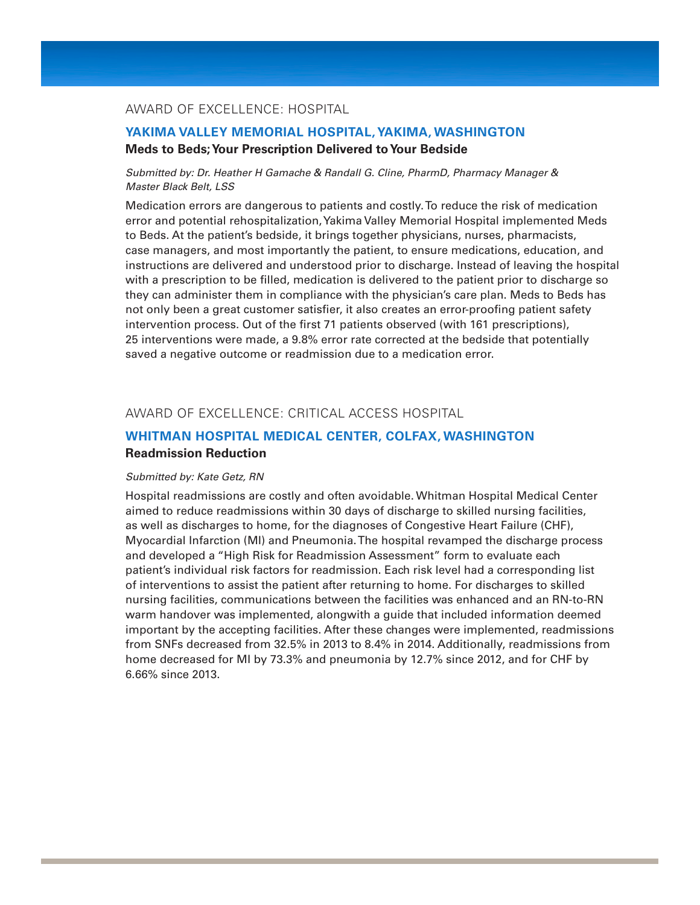## AWARD OF EXCELLENCE: HOSPITAL

## **YAKIMA VALLEY MEMORIAL HOSPITAL, YAKIMA, WASHINGTON Meds to Beds; Your Prescription Delivered to Your Bedside**

#### *Submitted by: Dr. Heather H Gamache & Randall G. Cline, PharmD, Pharmacy Manager & Master Black Belt, LSS*

Medication errors are dangerous to patients and costly. To reduce the risk of medication error and potential rehospitalization, Yakima Valley Memorial Hospital implemented Meds to Beds. At the patient's bedside, it brings together physicians, nurses, pharmacists, case managers, and most importantly the patient, to ensure medications, education, and instructions are delivered and understood prior to discharge. Instead of leaving the hospital with a prescription to be filled, medication is delivered to the patient prior to discharge so they can administer them in compliance with the physician's care plan. Meds to Beds has not only been a great customer satisfier, it also creates an error-proofing patient safety intervention process. Out of the first 71 patients observed (with 161 prescriptions), 25 interventions were made, a 9.8% error rate corrected at the bedside that potentially saved a negative outcome or readmission due to a medication error.

#### AWARD OF EXCELLENCE: CRITICAL ACCESS HOSPITAL

## **WHITMAN HOSPITAL MEDICAL CENTER, COLFAX, WASHINGTON Readmission Reduction**

#### *Submitted by: Kate Getz, RN*

Hospital readmissions are costly and often avoidable. Whitman Hospital Medical Center aimed to reduce readmissions within 30 days of discharge to skilled nursing facilities, as well as discharges to home, for the diagnoses of Congestive Heart Failure (CHF), Myocardial Infarction (MI) and Pneumonia. The hospital revamped the discharge process and developed a "High Risk for Readmission Assessment" form to evaluate each patient's individual risk factors for readmission. Each risk level had a corresponding list of interventions to assist the patient after returning to home. For discharges to skilled nursing facilities, communications between the facilities was enhanced and an RN-to-RN warm handover was implemented, alongwith a guide that included information deemed important by the accepting facilities. After these changes were implemented, readmissions from SNFs decreased from 32.5% in 2013 to 8.4% in 2014. Additionally, readmissions from home decreased for MI by 73.3% and pneumonia by 12.7% since 2012, and for CHF by 6.66% since 2013.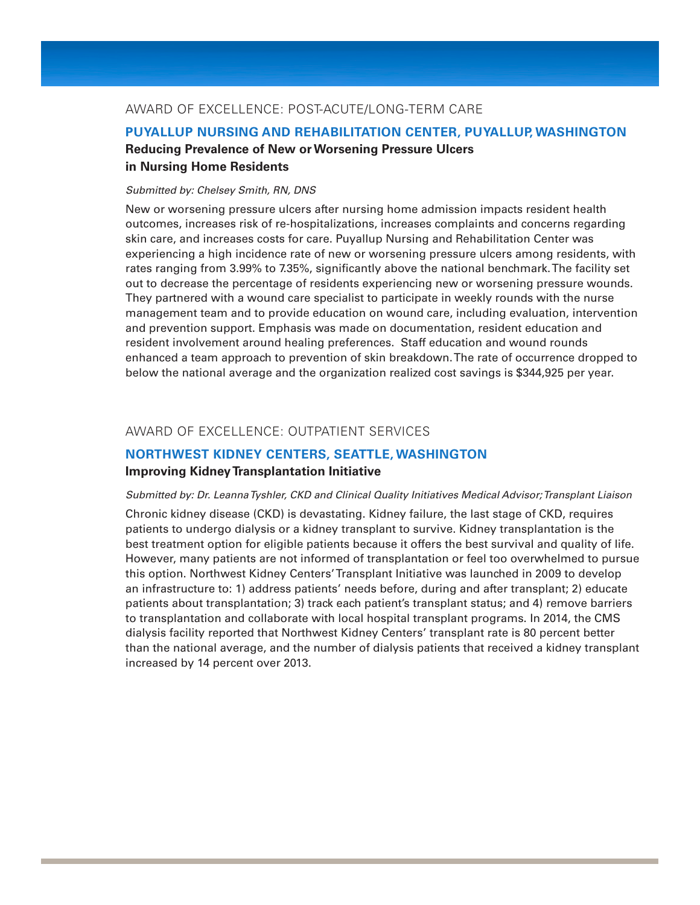## AWARD OF EXCELLENCE: POST-ACUTE/LONG-TERM CARE

## **PUYALLUP NURSING AND REHABILITATION CENTER, PUYALLUP, WASHINGTON Reducing Prevalence of New or Worsening Pressure Ulcers in Nursing Home Residents**

#### *Submitted by: Chelsey Smith, RN, DNS*

New or worsening pressure ulcers after nursing home admission impacts resident health outcomes, increases risk of re-hospitalizations, increases complaints and concerns regarding skin care, and increases costs for care. Puyallup Nursing and Rehabilitation Center was experiencing a high incidence rate of new or worsening pressure ulcers among residents, with rates ranging from 3.99% to 7.35%, significantly above the national benchmark. The facility set out to decrease the percentage of residents experiencing new or worsening pressure wounds. They partnered with a wound care specialist to participate in weekly rounds with the nurse management team and to provide education on wound care, including evaluation, intervention and prevention support. Emphasis was made on documentation, resident education and resident involvement around healing preferences. Staff education and wound rounds enhanced a team approach to prevention of skin breakdown. The rate of occurrence dropped to below the national average and the organization realized cost savings is \$344,925 per year.

#### AWARD OF EXCELLENCE: OUTPATIENT SERVICES

## **NORTHWEST KIDNEY CENTERS, SEATTLE, WASHINGTON**

## **Improving Kidney Transplantation Initiative**

#### *Submitted by: Dr. Leanna Tyshler, CKD and Clinical Quality Initiatives Medical Advisor; Transplant Liaison*

Chronic kidney disease (CKD) is devastating. Kidney failure, the last stage of CKD, requires patients to undergo dialysis or a kidney transplant to survive. Kidney transplantation is the best treatment option for eligible patients because it offers the best survival and quality of life. However, many patients are not informed of transplantation or feel too overwhelmed to pursue this option. Northwest Kidney Centers' Transplant Initiative was launched in 2009 to develop an infrastructure to: 1) address patients' needs before, during and after transplant; 2) educate patients about transplantation; 3) track each patient's transplant status; and 4) remove barriers to transplantation and collaborate with local hospital transplant programs. In 2014, the CMS dialysis facility reported that Northwest Kidney Centers' transplant rate is 80 percent better than the national average, and the number of dialysis patients that received a kidney transplant increased by 14 percent over 2013.